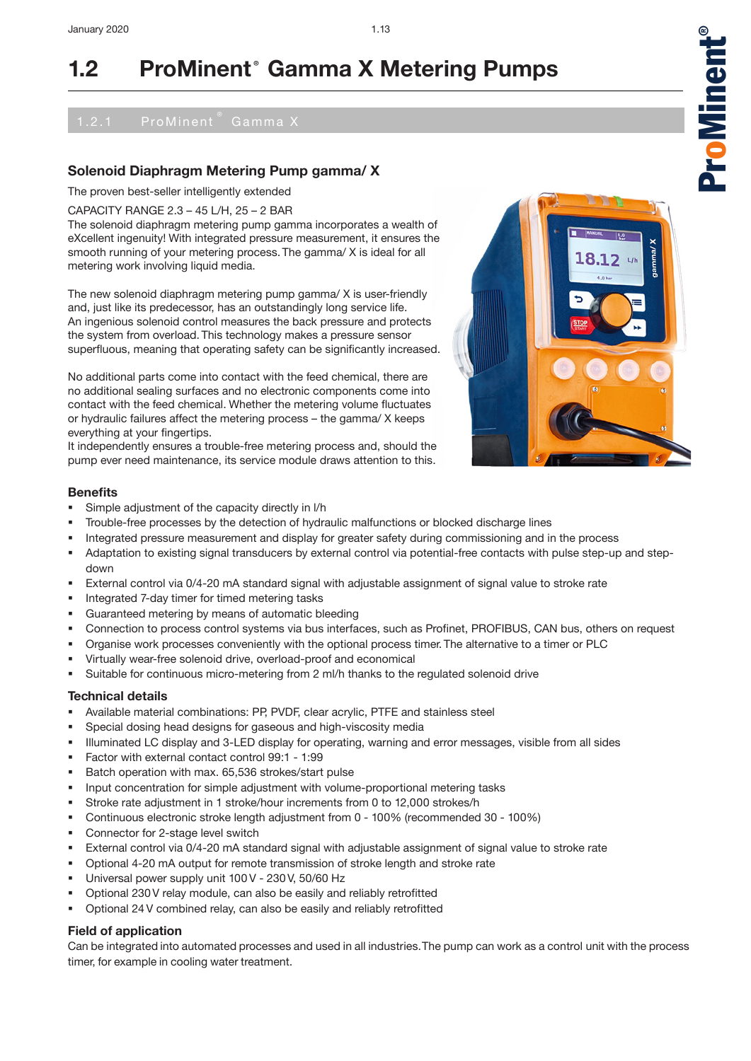## **Solenoid Diaphragm Metering Pump gamma/ X**

The proven best-seller intelligently extended

CAPACITY RANGE 2.3 – 45 L/H, 25 – 2 BAR

The solenoid diaphragm metering pump gamma incorporates a wealth of eXcellent ingenuity! With integrated pressure measurement, it ensures the smooth running of your metering process. The gamma/ X is ideal for all metering work involving liquid media.

The new solenoid diaphragm metering pump gamma/ X is user-friendly and, just like its predecessor, has an outstandingly long service life. An ingenious solenoid control measures the back pressure and protects the system from overload. This technology makes a pressure sensor superfluous, meaning that operating safety can be significantly increased.

No additional parts come into contact with the feed chemical, there are no additional sealing surfaces and no electronic components come into contact with the feed chemical. Whether the metering volume fluctuates or hydraulic failures affect the metering process – the gamma/ X keeps everything at your fingertips.

It independently ensures a trouble-free metering process and, should the pump ever need maintenance, its service module draws attention to this.

### **Benefits**

- Simple adjustment of the capacity directly in l/h
- Trouble-free processes by the detection of hydraulic malfunctions or blocked discharge lines
- Integrated pressure measurement and display for greater safety during commissioning and in the process
- Adaptation to existing signal transducers by external control via potential-free contacts with pulse step-up and stepdown
- External control via 0/4-20 mA standard signal with adjustable assignment of signal value to stroke rate
- Integrated 7-day timer for timed metering tasks
- Guaranteed metering by means of automatic bleeding
- Connection to process control systems via bus interfaces, such as Profinet, PROFIBUS, CAN bus, others on request
- Organise work processes conveniently with the optional process timer. The alternative to a timer or PLC
- Virtually wear-free solenoid drive, overload-proof and economical
- Suitable for continuous micro-metering from 2 ml/h thanks to the regulated solenoid drive

### **Technical details**

- Available material combinations: PP, PVDF, clear acrylic, PTFE and stainless steel
- Special dosing head designs for gaseous and high-viscosity media
- Illuminated LC display and 3-LED display for operating, warning and error messages, visible from all sides
- Factor with external contact control 99:1 1:99
- Batch operation with max. 65,536 strokes/start pulse
- Input concentration for simple adjustment with volume-proportional metering tasks
- Stroke rate adjustment in 1 stroke/hour increments from 0 to 12,000 strokes/h
- Continuous electronic stroke length adjustment from 0 100% (recommended 30 100%)
- Connector for 2-stage level switch
- External control via 0/4-20 mA standard signal with adjustable assignment of signal value to stroke rate
- Optional 4-20 mA output for remote transmission of stroke length and stroke rate
- Universal power supply unit 100 V 230 V, 50/60 Hz
- Optional 230 V relay module, can also be easily and reliably retrofitted
- Optional 24 V combined relay, can also be easily and reliably retrofitted

### **Field of application**

Can be integrated into automated processes and used in all industries.The pump can work as a control unit with the process timer, for example in cooling water treatment.



1.13  $\bullet$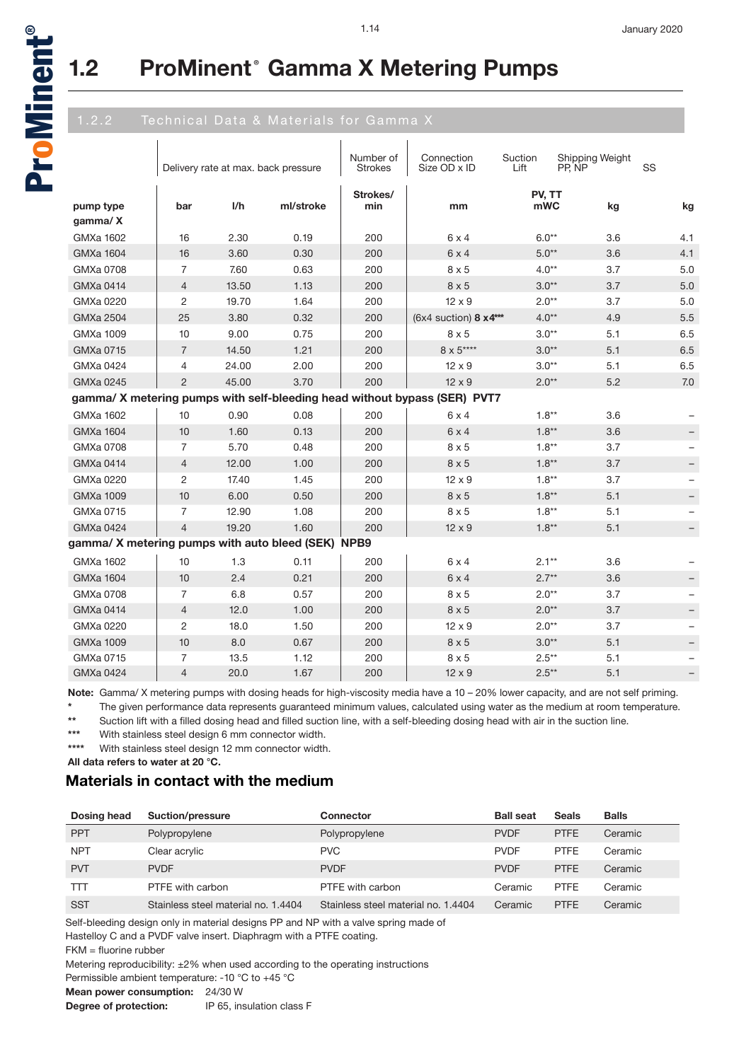

®

# **1.2 ProMinent® Gamma X Metering Pumps**

|                                                    |                | Delivery rate at max. back pressure |           | Number of<br><b>Strokes</b> | Connection<br>Size OD x ID                                                | Suction<br>Lift | Shipping Weight<br>PP, NP | SS                |
|----------------------------------------------------|----------------|-------------------------------------|-----------|-----------------------------|---------------------------------------------------------------------------|-----------------|---------------------------|-------------------|
| pump type<br>gamma/X                               | bar            | I/h                                 | ml/stroke | Strokes/<br>min             | mm                                                                        | PV, TT<br>mWC   | kg                        | kg                |
| GMXa 1602                                          | 16             | 2.30                                | 0.19      | 200                         | $6 \times 4$                                                              | $6.0**$         | 3.6                       | 4.1               |
| <b>GMXa 1604</b>                                   | 16             | 3.60                                | 0.30      | 200                         | $6 \times 4$                                                              | $5.0**$         | 3.6                       | 4.1               |
| GMXa 0708                                          | 7              | 7.60                                | 0.63      | 200                         | $8 \times 5$                                                              | $4.0**$         | 3.7                       | 5.0               |
| <b>GMXa 0414</b>                                   | $\overline{4}$ | 13.50                               | 1.13      | 200                         | $8 \times 5$                                                              | $3.0**$         | 3.7                       | 5.0               |
| GMXa 0220                                          | 2              | 19.70                               | 1.64      | 200                         | $12 \times 9$                                                             | $2.0**$         | 3.7                       | 5.0               |
| <b>GMXa 2504</b>                                   | 25             | 3.80                                | 0.32      | 200                         | (6x4 suction) 8 x4***                                                     | $4.0**$         | 4.9                       | 5.5               |
| GMXa 1009                                          | 10             | 9.00                                | 0.75      | 200                         | $8 \times 5$                                                              | $3.0**$         | 5.1                       | 6.5               |
| GMXa 0715                                          | $\overline{7}$ | 14.50                               | 1.21      | 200                         | 8 x 5****                                                                 | $3.0**$         | 5.1                       | 6.5               |
| GMXa 0424                                          | 4              | 24.00                               | 2.00      | 200                         | $12 \times 9$                                                             | $3.0**$         | 5.1                       | 6.5               |
| GMXa 0245                                          | $\overline{2}$ | 45.00                               | 3.70      | 200                         | $12 \times 9$                                                             | $2.0**$         | 5.2                       | 7.0               |
|                                                    |                |                                     |           |                             | gamma/ X metering pumps with self-bleeding head without bypass (SER) PVT7 |                 |                           |                   |
| GMXa 1602                                          | 10             | 0.90                                | 0.08      | 200                         | $6 \times 4$                                                              | $1.8**$         | 3.6                       |                   |
| <b>GMXa 1604</b>                                   | 10             | 1.60                                | 0.13      | 200                         | 6x4                                                                       | $1.8**$         | 3.6                       | $\qquad \qquad -$ |
| GMXa 0708                                          | 7              | 5.70                                | 0.48      | 200                         | $8 \times 5$                                                              | $1.8**$         | 3.7                       |                   |
| <b>GMXa 0414</b>                                   | 4              | 12.00                               | 1.00      | 200                         | $8 \times 5$                                                              | $1.8**$         | 3.7                       | $\qquad \qquad -$ |
| GMXa 0220                                          | 2              | 17.40                               | 1.45      | 200                         | $12 \times 9$                                                             | $1.8**$         | 3.7                       |                   |
| <b>GMXa 1009</b>                                   | 10             | 6.00                                | 0.50      | 200                         | $8 \times 5$                                                              | $1.8**$         | 5.1                       |                   |
| GMXa 0715                                          | 7              | 12.90                               | 1.08      | 200                         | $8 \times 5$                                                              | $1.8**$         | 5.1                       |                   |
| <b>GMXa 0424</b>                                   | $\overline{4}$ | 19.20                               | 1.60      | 200                         | $12 \times 9$                                                             | $1.8**$         | 5.1                       |                   |
| gamma/ X metering pumps with auto bleed (SEK) NPB9 |                |                                     |           |                             |                                                                           |                 |                           |                   |
| <b>GMXa 1602</b>                                   | 10             | 1.3                                 | 0.11      | 200                         | 6x4                                                                       | $2.1**$         | 3.6                       |                   |
| <b>GMXa 1604</b>                                   | 10             | 2.4                                 | 0.21      | 200                         | $6 \times 4$                                                              | $2.7**$         | 3.6                       |                   |
| GMXa 0708                                          | 7              | 6.8                                 | 0.57      | 200                         | $8 \times 5$                                                              | $2.0**$         | 3.7                       |                   |
| <b>GMXa 0414</b>                                   | $\overline{4}$ | 12.0                                | 1.00      | 200                         | $8 \times 5$                                                              | $2.0**$         | 3.7                       |                   |
| GMXa 0220                                          | $\overline{c}$ | 18.0                                | 1.50      | 200                         | $12 \times 9$                                                             | $2.0**$         | 3.7                       |                   |
| <b>GMXa 1009</b>                                   | 10             | 8.0                                 | 0.67      | 200                         | $8 \times 5$                                                              | $3.0**$         | 5.1                       |                   |
| GMXa 0715                                          | $\overline{7}$ | 13.5                                | 1.12      | 200                         | $8 \times 5$                                                              | $2.5***$        | 5.1                       |                   |
| <b>GMXa 0424</b>                                   | $\overline{4}$ | 20.0                                | 1.67      | 200                         | $12 \times 9$                                                             | $2.5***$        | 5.1                       |                   |

**Note:** Gamma/ X metering pumps with dosing heads for high-viscosity media have a 10 – 20% lower capacity, and are not self priming.

**\*** The given performance data represents guaranteed minimum values, calculated using water as the medium at room temperature.

\*\* Suction lift with a filled dosing head and filled suction line, with a self-bleeding dosing head with air in the suction line.<br>\*\*\* With atsiplese steel dosian 6 mm connector width

With stainless steel design 6 mm connector width.

**\*\*\*\*** With stainless steel design 12 mm connector width.

**All data refers to water at 20 °C.**

# **Materials in contact with the medium**

| Dosing head | <b>Suction/pressure</b>             | Connector                           | <b>Ball seat</b> | Seals       | <b>Balls</b> |
|-------------|-------------------------------------|-------------------------------------|------------------|-------------|--------------|
| <b>PPT</b>  | Polypropylene                       | Polypropylene                       | <b>PVDF</b>      | <b>PTFE</b> | Ceramic      |
| <b>NPT</b>  | Clear acrylic                       | <b>PVC</b>                          | <b>PVDF</b>      | <b>PTFE</b> | Ceramic      |
| <b>PVT</b>  | <b>PVDF</b>                         | <b>PVDF</b>                         | <b>PVDF</b>      | <b>PTFE</b> | Ceramic      |
| TП          | PTFF with carbon                    | PTFE with carbon                    | Ceramic          | <b>PTFF</b> | Ceramic      |
| <b>SST</b>  | Stainless steel material no. 1.4404 | Stainless steel material no. 1.4404 | Ceramic          | <b>PTFF</b> | Ceramic      |

Self-bleeding design only in material designs PP and NP with a valve spring made of

Hastelloy C and a PVDF valve insert. Diaphragm with a PTFE coating.

FKM = fluorine rubber

Metering reproducibility: ±2% when used according to the operating instructions

Permissible ambient temperature: -10 °C to +45 °C

**Mean power consumption:** 24/30 W

**Degree of protection:** IP 65, insulation class F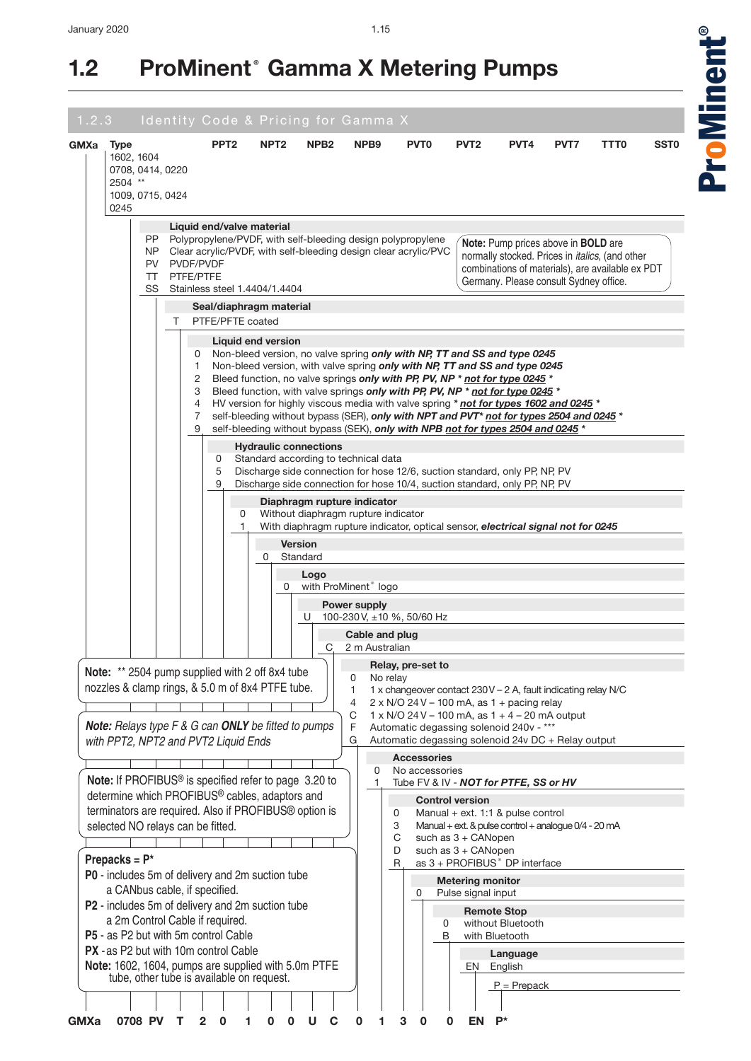## January 2020

# **1.2 ProMinent® Gamma X Metering Pumps**

| <b>GMXa</b> | <b>Type</b><br>1602, 1604 |                  |                                              | PPT <sub>2</sub>                                                                                                    | NPT <sub>2</sub>   | NPB <sub>2</sub>             | NPB <sub>9</sub>                     | <b>PVT0</b>                                                                                                                                                                                                                                                                                                                                                                                                                                                                                                                                                                                    | PVT <sub>2</sub>                                                 | PVT4              | PVT7                                                 | TTT0                                                                                                        | SST <sub>0</sub> |
|-------------|---------------------------|------------------|----------------------------------------------|---------------------------------------------------------------------------------------------------------------------|--------------------|------------------------------|--------------------------------------|------------------------------------------------------------------------------------------------------------------------------------------------------------------------------------------------------------------------------------------------------------------------------------------------------------------------------------------------------------------------------------------------------------------------------------------------------------------------------------------------------------------------------------------------------------------------------------------------|------------------------------------------------------------------|-------------------|------------------------------------------------------|-------------------------------------------------------------------------------------------------------------|------------------|
|             |                           | 0708, 0414, 0220 |                                              |                                                                                                                     |                    |                              |                                      |                                                                                                                                                                                                                                                                                                                                                                                                                                                                                                                                                                                                |                                                                  |                   |                                                      |                                                                                                             |                  |
|             | 2504 **<br>0245           | 1009, 0715, 0424 |                                              |                                                                                                                     |                    |                              |                                      |                                                                                                                                                                                                                                                                                                                                                                                                                                                                                                                                                                                                |                                                                  |                   |                                                      |                                                                                                             |                  |
|             |                           | PP.              |                                              | Liquid end/valve material                                                                                           |                    |                              |                                      | Polypropylene/PVDF, with self-bleeding design polypropylene                                                                                                                                                                                                                                                                                                                                                                                                                                                                                                                                    |                                                                  |                   | Note: Pump prices above in <b>BOLD</b> are           |                                                                                                             |                  |
|             |                           | NP.<br>PV<br>TT  | PVDF/PVDF<br>PTFE/PTFE                       | SS Stainless steel 1.4404/1.4404                                                                                    |                    |                              |                                      | Clear acrylic/PVDF, with self-bleeding design clear acrylic/PVC                                                                                                                                                                                                                                                                                                                                                                                                                                                                                                                                |                                                                  |                   | Germany. Please consult Sydney office.               | normally stocked. Prices in <i>italics</i> , (and other<br>combinations of materials), are available ex PDT |                  |
|             |                           |                  |                                              | Seal/diaphragm material                                                                                             |                    |                              |                                      |                                                                                                                                                                                                                                                                                                                                                                                                                                                                                                                                                                                                |                                                                  |                   |                                                      |                                                                                                             |                  |
|             |                           |                  | т                                            | PTFE/PFTE coated                                                                                                    | Liquid end version |                              |                                      |                                                                                                                                                                                                                                                                                                                                                                                                                                                                                                                                                                                                |                                                                  |                   |                                                      |                                                                                                             |                  |
|             |                           |                  | 0<br>1<br>2<br>3<br>$\overline{4}$<br>7<br>9 |                                                                                                                     |                    |                              |                                      | Non-bleed version, no valve spring only with NP, TT and SS and type 0245<br>Non-bleed version, with valve spring only with NP, TT and SS and type 0245<br>Bleed function, no valve springs only with PP, PV, NP * not for type 0245 *<br>Bleed function, with valve springs only with PP, PV, NP * not for type 0245 *<br>HV version for highly viscous media with valve spring * not for types 1602 and 0245 *<br>self-bleeding without bypass (SER), only with NPT and PVT* not for types 2504 and 0245 *<br>self-bleeding without bypass (SEK), only with NPB not for types 2504 and 0245 * |                                                                  |                   |                                                      |                                                                                                             |                  |
|             |                           |                  |                                              | 0<br>5                                                                                                              |                    | <b>Hydraulic connections</b> | Standard according to technical data | Discharge side connection for hose 12/6, suction standard, only PP, NP, PV                                                                                                                                                                                                                                                                                                                                                                                                                                                                                                                     |                                                                  |                   |                                                      |                                                                                                             |                  |
|             |                           |                  |                                              | 9                                                                                                                   |                    |                              | Diaphragm rupture indicator          | Discharge side connection for hose 10/4, suction standard, only PP, NP, PV                                                                                                                                                                                                                                                                                                                                                                                                                                                                                                                     |                                                                  |                   |                                                      |                                                                                                             |                  |
|             |                           |                  |                                              | 0<br>1.                                                                                                             |                    |                              | Without diaphragm rupture indicator  | With diaphragm rupture indicator, optical sensor, electrical signal not for 0245                                                                                                                                                                                                                                                                                                                                                                                                                                                                                                               |                                                                  |                   |                                                      |                                                                                                             |                  |
|             |                           |                  |                                              |                                                                                                                     | 0                  | <b>Version</b><br>Standard   |                                      |                                                                                                                                                                                                                                                                                                                                                                                                                                                                                                                                                                                                |                                                                  |                   |                                                      |                                                                                                             |                  |
|             |                           |                  |                                              |                                                                                                                     | 0                  | Logo                         | with ProMinent <sup>®</sup> logo     |                                                                                                                                                                                                                                                                                                                                                                                                                                                                                                                                                                                                |                                                                  |                   |                                                      |                                                                                                             |                  |
|             |                           |                  |                                              |                                                                                                                     |                    |                              | Power supply                         |                                                                                                                                                                                                                                                                                                                                                                                                                                                                                                                                                                                                |                                                                  |                   |                                                      |                                                                                                             |                  |
|             |                           |                  |                                              |                                                                                                                     |                    | U                            | Cable and plug                       | 100-230 V, ±10 %, 50/60 Hz                                                                                                                                                                                                                                                                                                                                                                                                                                                                                                                                                                     |                                                                  |                   |                                                      |                                                                                                             |                  |
|             |                           |                  |                                              |                                                                                                                     |                    | С                            | 2 m Australian                       |                                                                                                                                                                                                                                                                                                                                                                                                                                                                                                                                                                                                |                                                                  |                   |                                                      |                                                                                                             |                  |
|             |                           |                  |                                              | Note: ** 2504 pump supplied with 2 off 8x4 tube                                                                     |                    |                              | 0<br>No relay                        | Relay, pre-set to                                                                                                                                                                                                                                                                                                                                                                                                                                                                                                                                                                              |                                                                  |                   |                                                      |                                                                                                             |                  |
|             |                           |                  |                                              | nozzles & clamp rings, & 5.0 m of 8x4 PTFE tube.                                                                    |                    |                              | 1<br>4                               | 1 x changeover contact 230V - 2 A, fault indicating relay N/C<br>$2 \times N/O$ 24 V - 100 mA, as 1 + pacing relay                                                                                                                                                                                                                                                                                                                                                                                                                                                                             |                                                                  |                   |                                                      |                                                                                                             |                  |
|             |                           |                  |                                              | <b>Note:</b> Relays type F & G can <b>ONLY</b> be fitted to pumps                                                   |                    |                              | С<br>F                               | $1 \times N/O$ 24 V - 100 mA, as $1 + 4 - 20$ mA output<br>Automatic degassing solenoid 240v - ***                                                                                                                                                                                                                                                                                                                                                                                                                                                                                             |                                                                  |                   |                                                      |                                                                                                             |                  |
|             |                           |                  |                                              | with PPT2, NPT2 and PVT2 Liquid Ends                                                                                |                    |                              | G                                    | Automatic degassing solenoid 24v DC + Relay output                                                                                                                                                                                                                                                                                                                                                                                                                                                                                                                                             |                                                                  |                   |                                                      |                                                                                                             |                  |
|             |                           |                  |                                              |                                                                                                                     |                    |                              | 0                                    | <b>Accessories</b><br>No accessories                                                                                                                                                                                                                                                                                                                                                                                                                                                                                                                                                           |                                                                  |                   |                                                      |                                                                                                             |                  |
|             |                           |                  |                                              | Note: If PROFIBUS <sup>®</sup> is specified refer to page 3.20 to<br>determine which PROFIBUS® cables, adaptors and |                    |                              | 1                                    | Tube FV & IV - NOT for PTFE, SS or HV                                                                                                                                                                                                                                                                                                                                                                                                                                                                                                                                                          | <b>Control version</b>                                           |                   |                                                      |                                                                                                             |                  |
|             |                           |                  | selected NO relays can be fitted.            | terminators are required. Also if PROFIBUS® option is                                                               |                    |                              |                                      | 0<br>3                                                                                                                                                                                                                                                                                                                                                                                                                                                                                                                                                                                         | Manual + ext. 1:1 & pulse control                                |                   | Manual + ext. & pulse control + analogue 0/4 - 20 mA |                                                                                                             |                  |
|             |                           |                  |                                              |                                                                                                                     |                    |                              |                                      | C                                                                                                                                                                                                                                                                                                                                                                                                                                                                                                                                                                                              | such as 3 + CANopen                                              |                   |                                                      |                                                                                                             |                  |
|             | Prepacks = $P^*$          |                  |                                              |                                                                                                                     |                    |                              |                                      | D<br>R                                                                                                                                                                                                                                                                                                                                                                                                                                                                                                                                                                                         | such as 3 + CANopen<br>as 3 + PROFIBUS <sup>®</sup> DP interface |                   |                                                      |                                                                                                             |                  |
|             |                           |                  |                                              | P0 - includes 5m of delivery and 2m suction tube<br>a CANbus cable, if specified.                                   |                    |                              |                                      | 0                                                                                                                                                                                                                                                                                                                                                                                                                                                                                                                                                                                              | <b>Metering monitor</b>                                          |                   |                                                      |                                                                                                             |                  |
|             |                           |                  |                                              | P2 - includes 5m of delivery and 2m suction tube                                                                    |                    |                              |                                      |                                                                                                                                                                                                                                                                                                                                                                                                                                                                                                                                                                                                | Pulse signal input<br><b>Remote Stop</b>                         |                   |                                                      |                                                                                                             |                  |
|             |                           |                  |                                              | a 2m Control Cable if required.<br>P5 - as P2 but with 5m control Cable                                             |                    |                              |                                      | 0<br>В                                                                                                                                                                                                                                                                                                                                                                                                                                                                                                                                                                                         | with Bluetooth                                                   | without Bluetooth |                                                      |                                                                                                             |                  |
|             |                           |                  |                                              | <b>PX</b> - as P2 but with 10m control Cable                                                                        |                    |                              |                                      |                                                                                                                                                                                                                                                                                                                                                                                                                                                                                                                                                                                                |                                                                  | Language          |                                                      |                                                                                                             |                  |
|             |                           |                  |                                              | Note: 1602, 1604, pumps are supplied with 5.0m PTFE<br>tube, other tube is available on request.                    |                    |                              |                                      |                                                                                                                                                                                                                                                                                                                                                                                                                                                                                                                                                                                                | EN                                                               | English           |                                                      |                                                                                                             |                  |
|             |                           |                  |                                              |                                                                                                                     |                    |                              |                                      |                                                                                                                                                                                                                                                                                                                                                                                                                                                                                                                                                                                                |                                                                  | $P = Prepack$     |                                                      |                                                                                                             |                  |

<u>a</u> oMinent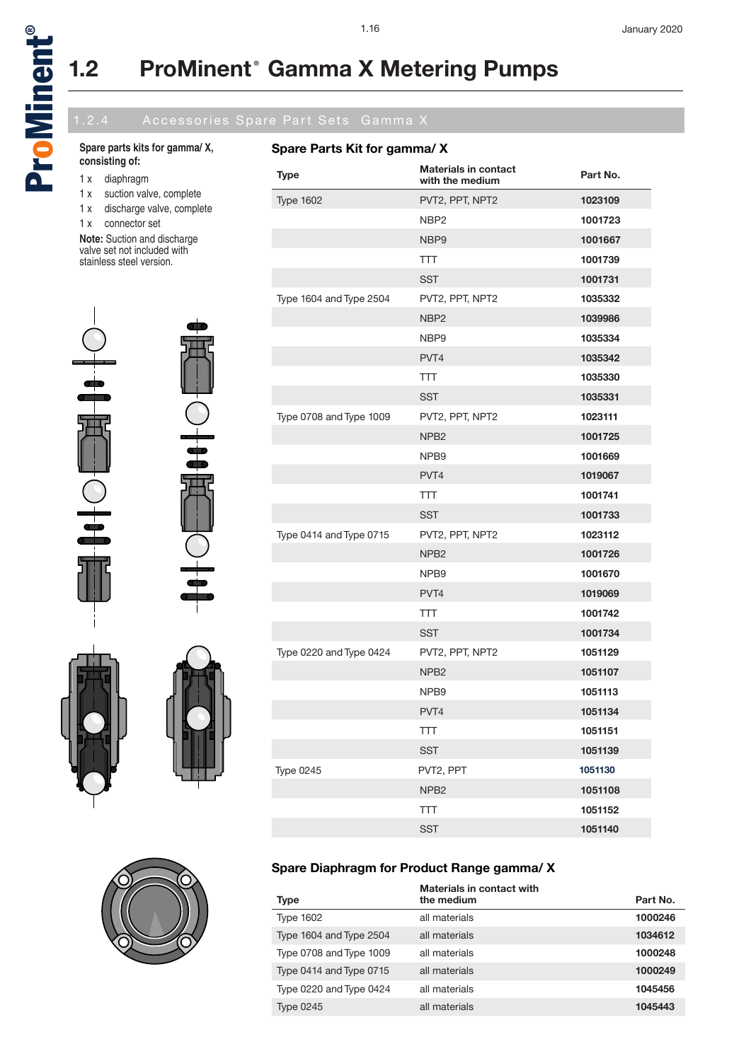

# **1.2 ProMinent® Gamma X Metering Pumps**

### **Spare parts kits for gamma/ X, consisting of:**

- 1 x diaphragm
- 1 x suction valve, complete
- 1 x discharge valve, complete
- 1 x connector set

冊

**Note:** Suction and discharge valve set not included with stainless steel version.





## **Spare Diaphragm for Product Range gamma/ X**

|                         | Materials in contact with |          |
|-------------------------|---------------------------|----------|
| <b>Type</b>             | the medium                | Part No. |
| <b>Type 1602</b>        | all materials             | 1000246  |
| Type 1604 and Type 2504 | all materials             | 1034612  |
| Type 0708 and Type 1009 | all materials             | 1000248  |
| Type 0414 and Type 0715 | all materials             | 1000249  |
| Type 0220 and Type 0424 | all materials             | 1045456  |
| <b>Type 0245</b>        | all materials             | 1045443  |
|                         |                           |          |



## **Spare Parts Kit for gamma/ X**